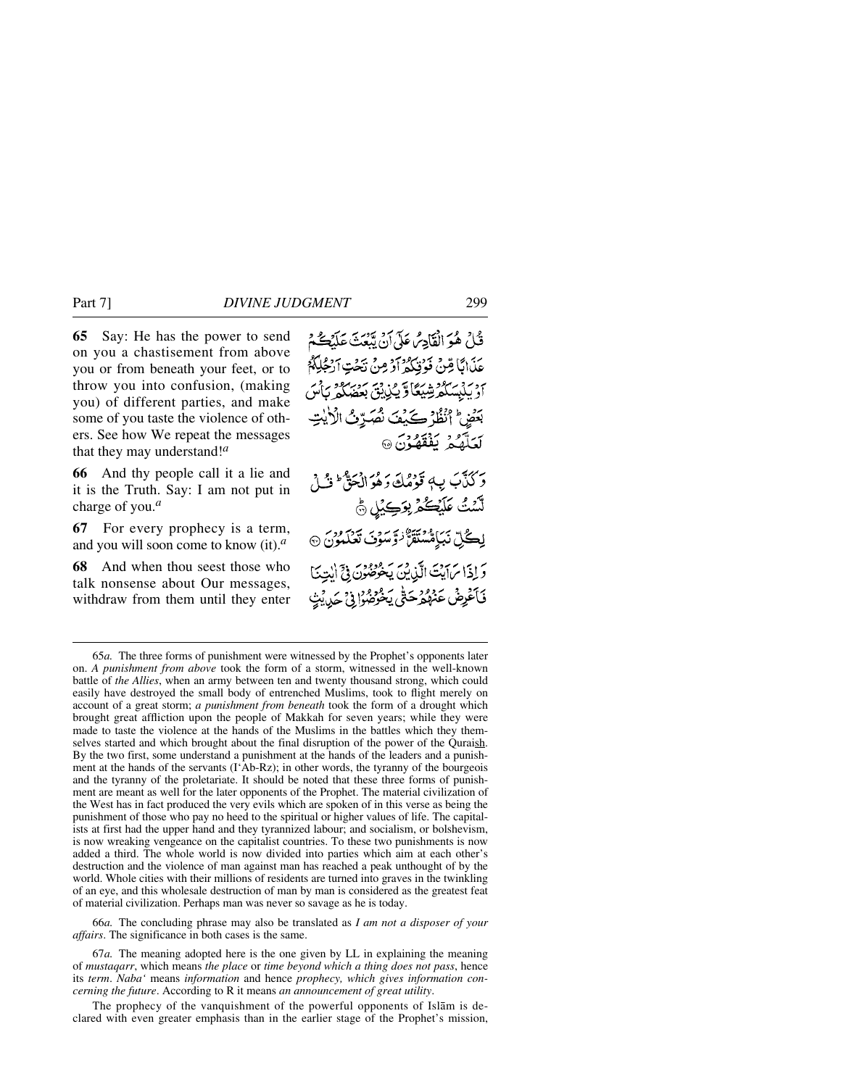**65** Say: He has the power to send

on you a chastisement from above you or from beneath your feet, or to throw you into confusion, (making you) of different parties, and make some of you taste the violence of others. See how We repeat the messages that they may understand!*<sup>a</sup>*

**66** And thy people call it a lie and it is the Truth. Say: I am not put in charge of you.*<sup>a</sup>*

**67** For every prophecy is a term, and you will soon come to know (it).*<sup>a</sup>*

**68** And when thou seest those who talk nonsense about Our messages, withdraw from them until they enter

66*a.* The concluding phrase may also be translated as *I am not a disposer of your affairs*. The significance in both cases is the same.

The prophecy of the vanquishment of the powerful opponents of Islåm is declared with even greater emphasis than in the earlier stage of the Prophet's mission,

قُلْ هُوَ الْقَادِسُ عَلَى آنْ يَبْعَتَ عَلَيْكُمْ عَذَابًا قِنْ فَوُنِيَكُمْ أَوْ مِنْ نَحْتِ أَرْجُلِكُمْ ىردىن مەدەپرىيىگا ۋېيىن بىر مەدەپرىدىن بىر<br>اربىلىسكىرىشىگا ۋېيىن بىر بَعْضِ ۚ أَنْظُرْ كَيْفَ نُصَرِّفُ الْأَيْتِ لَعَلَّهُمۡ یَفۡقَهُوۡنَ ۞ دَ كَنَّهَبَ بِ4 قَوْمُكَ دَهُوَ الْجَوَّ ۖ وَلَيْ إِ لَّسْتُ عَلَيْكُمْ بِوَكِيْلِ ﴾ لِڪُلِّ نَبَامُسْتَقَنُّ ٰ وَسَوْيَ تَعْلَمُونَ ۞ رَ إِذَا بِرَابِيَتَ الَّذِينَ يَخْرُضُونَ فِيَّ إِلٰهِ فَأَعْرِضُ عَنْهُمْ حَتَّى يَخْرُضُوا فِي حَدِيثِ

<sup>65</sup>*a.* The three forms of punishment were witnessed by the Prophet's opponents later on. *A punishment from above* took the form of a storm, witnessed in the well-known battle of *the Allies*, when an army between ten and twenty thousand strong, which could easily have destroyed the small body of entrenched Muslims, took to flight merely on account of a great storm; *a punishment from beneath* took the form of a drought which brought great affliction upon the people of Makkah for seven years; while they were made to taste the violence at the hands of the Muslims in the battles which they themselves started and which brought about the final disruption of the power of the Quraish. By the two first, some understand a punishment at the hands of the leaders and a punishment at the hands of the servants (I'Ab-Rz); in other words, the tyranny of the bourgeois and the tyranny of the proletariate. It should be noted that these three forms of punishment are meant as well for the later opponents of the Prophet. The material civilization of the West has in fact produced the very evils which are spoken of in this verse as being the punishment of those who pay no heed to the spiritual or higher values of life. The capitalists at first had the upper hand and they tyrannized labour; and socialism, or bolshevism, is now wreaking vengeance on the capitalist countries. To these two punishments is now added a third. The whole world is now divided into parties which aim at each other's destruction and the violence of man against man has reached a peak unthought of by the world. Whole cities with their millions of residents are turned into graves in the twinkling of an eye, and this wholesale destruction of man by man is considered as the greatest feat of material civilization. Perhaps man was never so savage as he is today.

<sup>67</sup>*a.* The meaning adopted here is the one given by LL in explaining the meaning of *mustaqarr*, which means *the place* or *time beyond which a thing does not pass*, hence its *term*. *Naba'* means *information* and hence *prophecy, which gives information concerning the future*. According to R it means *an announcement of great utility*.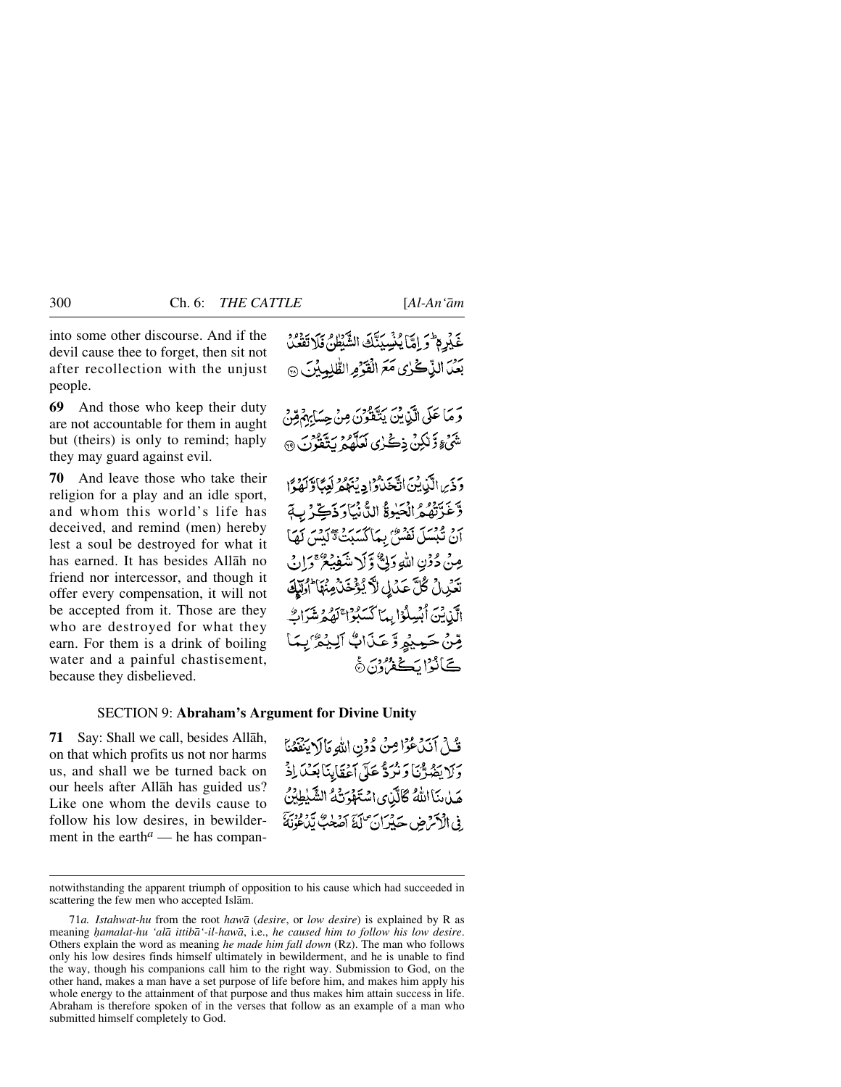into some other discourse. And if the devil cause thee to forget, then sit not after recollection with the unjust people.

**69** And those who keep their duty are not accountable for them in aught but (theirs) is only to remind; haply they may guard against evil.

**70** And leave those who take their religion for a play and an idle sport, and whom this world's life has deceived, and remind (men) hereby lest a soul be destroyed for what it has earned. It has besides Allåh no friend nor intercessor, and though it offer every compensation, it will not be accepted from it. Those are they who are destroyed for what they earn. For them is a drink of boiling water and a painful chastisement, because they disbelieved.

### SECTION 9: **Abraham's Argument for Divine Unity**

**71** Say: Shall we call, besides Allåh, on that which profits us not nor harms us, and shall we be turned back on our heels after Allåh has guided us? Like one whom the devils cause to follow his low desires, in bewilderment in the earth<sup> $a$ </sup> — he has compan-

فَكِنْ أَنَدْعُوْا مِنْ دُوْنِ اللَّهِ مَالَا يَنْفَعُنَا وَلَا يَضُرَّنَا وَنَرَدٌّ عَلَى أَعْقَابِنَا بَعْدَ إِذْ هَيْنِ بَنَا اللَّهُ كَالَّذِي اسْتَهْوَنَّهُ الشَّيْطِيْنُ ِفِي الْأَكْثَرِ مِن حَيْرَانِ لَكَ أَصْحَبُّ بِّدَوْمِيَّ

notwithstanding the apparent triumph of opposition to his cause which had succeeded in scattering the few men who accepted Islåm.

<sup>71</sup>*a. Istahwat-hu* from the root *hawå* (*desire*, or *low desire*) is explained by R as meaning *√amalat-hu 'alå ittibå'-il-hawå*, i.e., *he caused him to follow his low desire*. Others explain the word as meaning *he made him fall down* (Rz). The man who follows only his low desires finds himself ultimately in bewilderment, and he is unable to find the way, though his companions call him to the right way. Submission to God, on the other hand, makes a man have a set purpose of life before him, and makes him apply his whole energy to the attainment of that purpose and thus makes him attain success in life. Abraham is therefore spoken of in the verses that follow as an example of a man who submitted himself completely to God.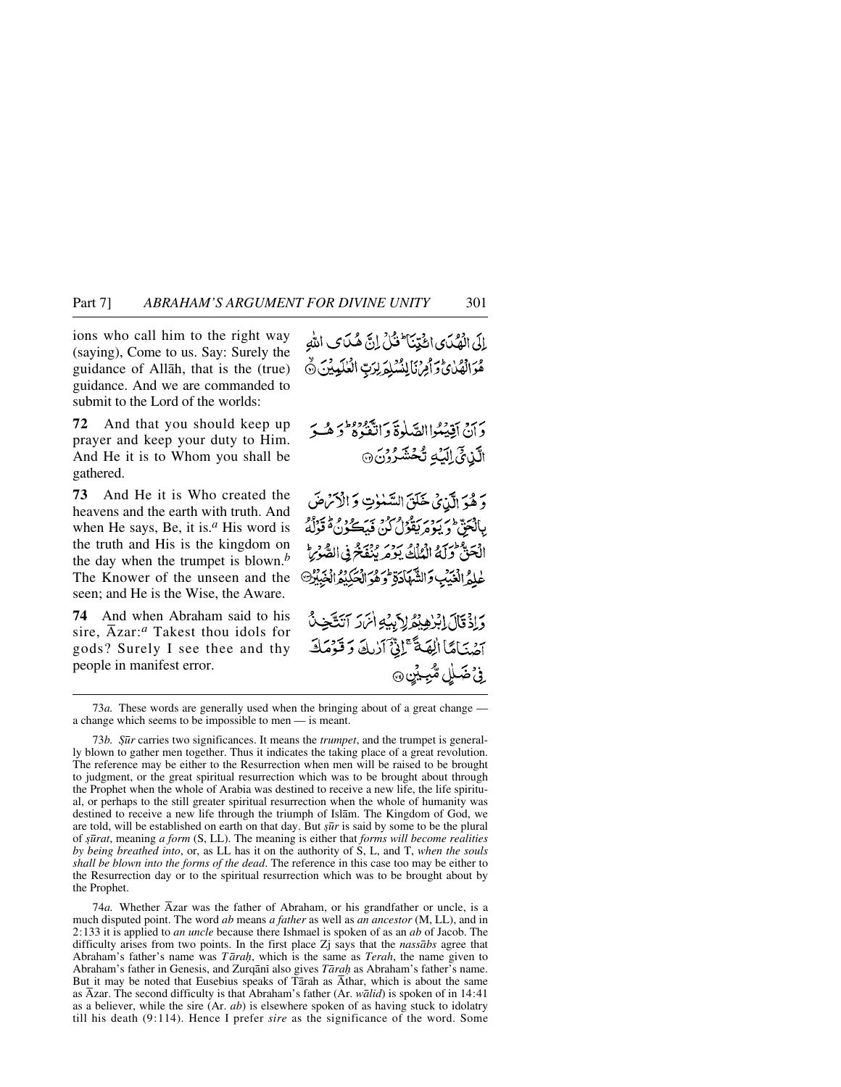ions who call him to the right way (saying), Come to us. Say: Surely the guidance of Allåh, that is the (true) guidance. And we are commanded to submit to the Lord of the worlds:

**72** And that you should keep up prayer and keep your duty to Him. And He it is to Whom you shall be gathered.

**73** And He it is Who created the heavens and the earth with truth. And when He says, Be, it is.*<sup>a</sup>* His word is the truth and His is the kingdom on the day when the trumpet is blown.*<sup>b</sup>* The Knower of the unseen and the seen; and He is the Wise, the Aware.

**74** And when Abraham said to his sire, Åzar:*<sup>a</sup>* Takest thou idols for gods? Surely I see thee and thy people in manifest error.

بائي انْھُكَدِي ائْتِيْنَا فَتْلْ إِنَّ هُكَدَى اللهِ هُوَالْهُلْيُّ وَأَمِنْ لَانْشَلِوَلِرَبِّ الْعٰلَيِيْنَ ٥

دَ هُدَ الَّيْنِيُّ خَلَقَ السَّنْوٰتِ وَ الْأَسَّرْضَ بِبِالْجَقُّ وَيُوْمٍ مِثْغُوْلُ كُنْ فَيْهَكُونُ هُ قَوْلُهُ الْحَقُّ وَلَهُ الْمُلْكُ يَوْمَرِيْنَفَخْرِفِي الصُّ عْلَمُ الْغَبَٰبِ وَالشَّهَادَةِ <sup>2</sup>وَهُوَ الْحَكِيْدُ انْخَبِيْرُ®

وَإِذْ قَالَ إِبْرٰهِ بِمُؤْلِرَبِيَّةِ أَنْرَرَ آتَتَّخِبُّ آصْنَاهَا الِهَةَ عَمْلِقٌ آرٰبِكَ وَقَوْمَكَ ِ فِيُ ضَـٰلِلِ مُّبْعِيْنِ@

73*a.* These words are generally used when the bringing about of a great change a change which seems to be impossible to men — is meant.

73*b. Şūr* carries two significances. It means the *trumpet*, and the trumpet is generally blown to gather men together. Thus it indicates the taking place of a great revolution. The reference may be either to the Resurrection when men will be raised to be brought to judgment, or the great spiritual resurrection which was to be brought about through the Prophet when the whole of Arabia was destined to receive a new life, the life spiritual, or perhaps to the still greater spiritual resurrection when the whole of humanity was destined to receive a new life through the triumph of Islåm. The Kingdom of God, we are told, will be established on earth on that day. But *şūr* is said by some to be the plural of *©∂rat*, meaning *a form* (S, LL). The meaning is either that *forms will become realities by being breathed into*, or, as LL has it on the authority of S, L, and T, *when the souls shall be blown into the forms of the dead*. The reference in this case too may be either to the Resurrection day or to the spiritual resurrection which was to be brought about by the Prophet.

74*a.* Whether Åzar was the father of Abraham, or his grandfather or uncle, is a much disputed point. The word *ab* means *a father* as well as *an ancestor* (M, LL), and in 2:133 it is applied to *an uncle* because there Ishmael is spoken of as an *ab* of Jacob. The difficulty arises from two points. In the first place Zj says that the *nassåbs* agree that Abraham's father's name was *T åra√*, which is the same as *Terah*, the name given to Abraham's father in Genesis, and Zurqānī also gives *Tārah* as Abraham's father's name. But it may be noted that Eusebius speaks of Tårah as Åthar, which is about the same as Åzar. The second difficulty is that Abraham's father (Ar. *wålid*) is spoken of in 14:41 as a believer, while the sire (Ar. *ab*) is elsewhere spoken of as having stuck to idolatry till his death (9:114). Hence I prefer *sire* as the significance of the word. Some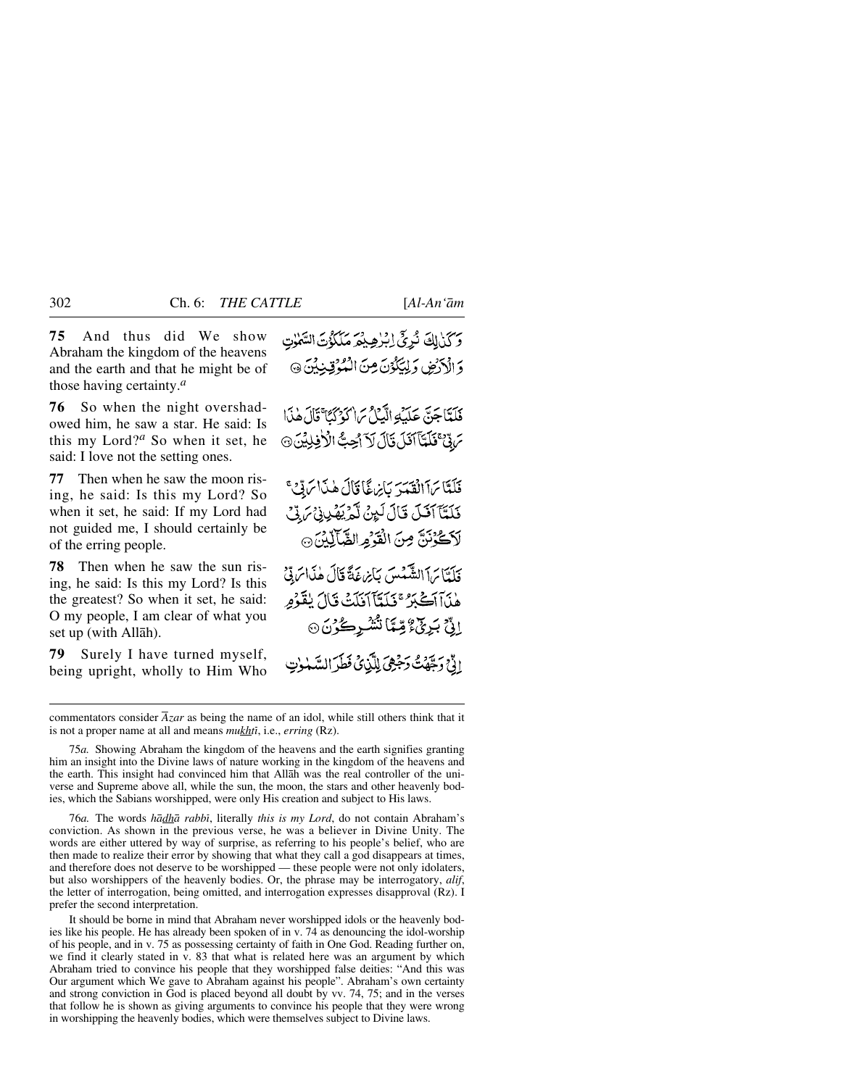**75** And thus did We show Abraham the kingdom of the heavens and the earth and that he might be of those having certainty.*<sup>a</sup>*

**76** So when the night overshadowed him, he saw a star. He said: Is this my Lord?*<sup>a</sup>* So when it set, he said: I love not the setting ones.

**77** Then when he saw the moon rising, he said: Is this my Lord? So when it set, he said: If my Lord had not guided me, I should certainly be of the erring people.

**78** Then when he saw the sun rising, he said: Is this my Lord? Is this the greatest? So when it set, he said: O my people, I am clear of what you set up (with Allåh).

**79** Surely I have turned myself, being upright, wholly to Him Who وَكَنْ لِكَ نُرِيٍّ إِبْرٰهِيْمَ مَلَكُوْتَ السَّلَاتِ وَالْأَرْضِ وَلِيَكْوُنَ مِنَ الْمُؤْقِينِيْنَ ۞

فَلَدَّاجَنَّ عَلَيْهِ الَّيِّبِيُّ مَا كَوْكَمَا ۚ قَالَ هٰذَا مَ بِيِّ فَلَمَّآ آَفَلَ نَالَ لَاَ اُحِبُّ الْأَفِلِيْنَ ۞

فَلَتَّا سَآَ الْقَدَّرَ كَإِبْرِيقًا قَالَ هٰذَا سَوِّيَّ فَلَمَّآ آفَلَ قَالَ لَبِنْ لَّمْ يَهْدِينَ لَا تَكْ لَاَكْزُنَنَّ مِنَ الْقَرَْمِ الشَّالِّيْنَ ۞ فَلَدَّائِراً الشَّهْبِينَ بِأَيْرَعَةً قَالَ هٰذَاسَ بِيِّي هٰنَآآَكَيْزَ ۚ فَلَدَّآآَ فَلَتَّ قَالَ يُقَوِّمِ

إِنِّ بَرِنِّ ۚ وِّمِّاَ تُشْرِكُرُنَ۞ الوَّحْ وَيَحْدَثَ وَجَعِيَ لِلَّذِي فَطَرَ السَّيْبِيْنِ

76*a.* The words *hådhå rabbß*, literally *this is my Lord*, do not contain Abraham's conviction. As shown in the previous verse, he was a believer in Divine Unity. The words are either uttered by way of surprise, as referring to his people's belief, who are then made to realize their error by showing that what they call a god disappears at times, and therefore does not deserve to be worshipped — these people were not only idolaters, but also worshippers of the heavenly bodies. Or, the phrase may be interrogatory, *alif*, the letter of interrogation, being omitted, and interrogation expresses disapproval (Rz). I prefer the second interpretation.

It should be borne in mind that Abraham never worshipped idols or the heavenly bodies like his people. He has already been spoken of in v. 74 as denouncing the idol-worship of his people, and in v. 75 as possessing certainty of faith in One God. Reading further on, we find it clearly stated in v. 83 that what is related here was an argument by which Abraham tried to convince his people that they worshipped false deities: "And this was Our argument which We gave to Abraham against his people". Abraham's own certainty and strong conviction in God is placed beyond all doubt by vv. 74, 75; and in the verses that follow he is shown as giving arguments to convince his people that they were wrong in worshipping the heavenly bodies, which were themselves subject to Divine laws.

commentators consider *Åzar* as being the name of an idol, while still others think that it is not a proper name at all and means *mukhtß*, i.e., *erring* (Rz).

<sup>75</sup>*a.* Showing Abraham the kingdom of the heavens and the earth signifies granting him an insight into the Divine laws of nature working in the kingdom of the heavens and the earth. This insight had convinced him that Allåh was the real controller of the universe and Supreme above all, while the sun, the moon, the stars and other heavenly bodies, which the Sabians worshipped, were only His creation and subject to His laws.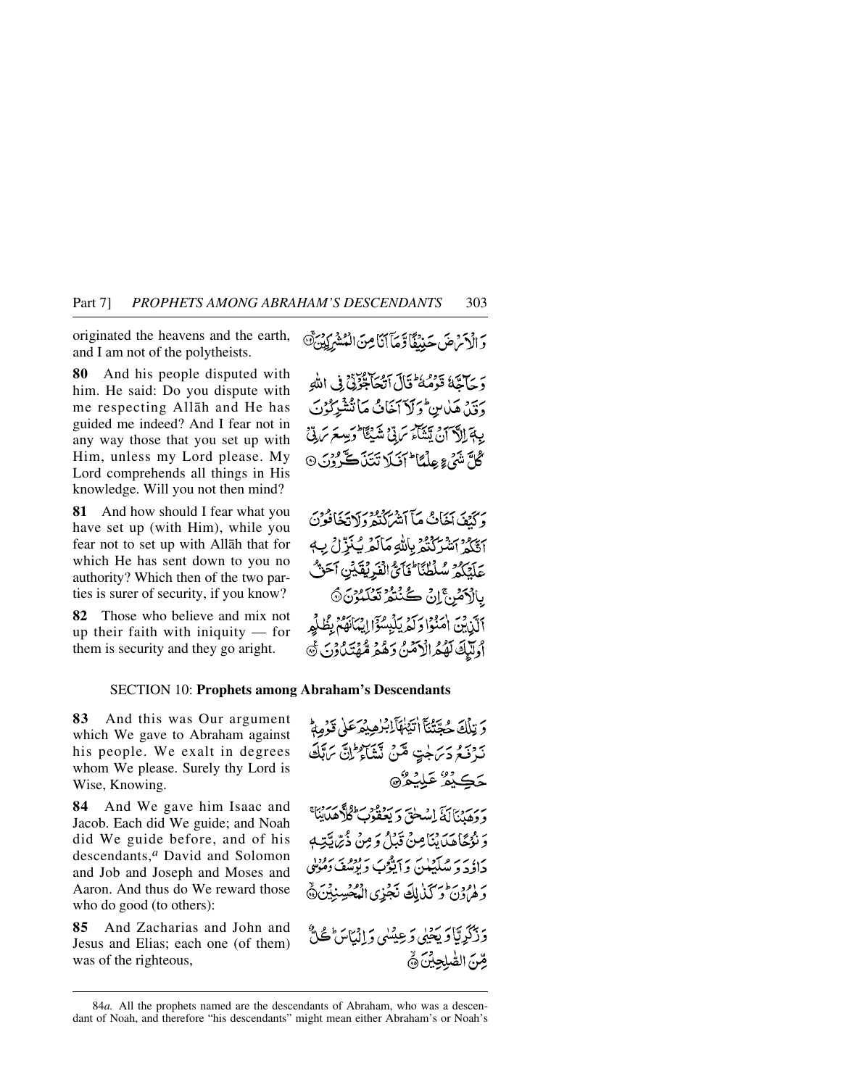originated the heavens and the earth, and I am not of the polytheists.

**80** And his people disputed with him. He said: Do you dispute with me respecting Allåh and He has guided me indeed? And I fear not in any way those that you set up with Him, unless my Lord please. My Lord comprehends all things in His knowledge. Will you not then mind?

**81** And how should I fear what you have set up (with Him), while you fear not to set up with Allåh that for which He has sent down to you no authority? Which then of the two parties is surer of security, if you know?

**82** Those who believe and mix not up their faith with iniquity — for them is security and they go aright.

وَالْأَمْرَضَ حَيْنَقَاً وَّجَآَآنَا مِنَ الْمُتْبِرِكِينَ هَ

دَ جَآجَّهٗ قَوْمُهُ ۖ قَالَ آتُهَا قُوْتِيٌ فِي اللَّهِ دَيْنْ هَلْاسْ وَلَا آخَانُ مَانْتَشْرِكُوْنَ يِبَةَ إِلَّا آنَ يَتَنَاءُ سَ بِّيْ شَيْئًا وَيِسِعَ سَ بِيِّ گُلَّ تَنَيُّ ءِ عِلْمًا<sup>4</sup> أَفَيلا تَتَنَاڪُرُونَ ۞

وَكَنْفَ آخَانُ مَأَ آتِيْهَنَّدُوْ وَلَا تَخَافُوْنَ أَتَكُمُ ٱتّْتُرَكّْتُمُ بِاللَّهِ مَالَمۡرِيۡنَٰٓزِلۡ بِ4 عَلَيْكُمْ سُلْطُنَا فَأَيَّ الْفَرِيْقَيْنِ آَحَنَّ بِالْأَصْنِ إِنْ كُنْتُمْ تَعْلَمُوْنَ۞ أَكَّرْبَيْنَ أَمَنُوا وَكَدِيَانِيْسُوَّا إِيْمَانَهُمْ بِظُلْهِهِ أُولَّلِكَ لَهُمُ الْآمَنُ دَهُمْ مُّهۡتَدُ ُوۡنَ ﴾

### SECTION 10: **Prophets among Abraham's Descendants**

**83** And this was Our argument which We gave to Abraham against his people. We exalt in degrees whom We please. Surely thy Lord is Wise, Knowing.

**84** And We gave him Isaac and Jacob. Each did We guide; and Noah did We guide before, and of his descendants,*<sup>a</sup>* David and Solomon and Job and Joseph and Moses and Aaron. And thus do We reward those who do good (to others):

**85** And Zacharias and John and Jesus and Elias; each one (of them) was of the righteous,

وَ زَكَرِيَّا وَيَحْيِي وَعِيْسُي وَ إِنْمَاسَ ٰ ڪُلُّ صِّنَ الصَّلِحِيِّنَ ۞

وَ تِلْكَ حُحَّتُنَآ أَتَيْنَهَآيِلْبُرٰهِيْمَرَعَلَىٰ قَوۡمِهُمَّ نَدْفَعُ دَيْرَ جَتِّ مِّنْ نَشْأَءٌ إِنَّ يَهَذِّي حَڪِيْئُرُ عَلِيْعُرُ۞ و كوري كم ياريخ است كرد و در دارد.<br>و وهبنالة استحق و يعقوب كلاهداينا وَ نُزُجًاهَدَايْنَامِنْ قَبْلُ وَمِنْ ذُيْرٌ بِيَّتِهِ بر، سر مرکز دی سر تاییوب س<sup>و</sup>ده بر برود.<br>جاؤچه میکنیک و ایوب و نوشف دهویی رَ (وَدَعْ وَكَنْ لِكَ نَجْزِي الْمُحْسِنِيْنَ۞

<sup>84</sup>*a.* All the prophets named are the descendants of Abraham, who was a descendant of Noah, and therefore "his descendants" might mean either Abraham's or Noah's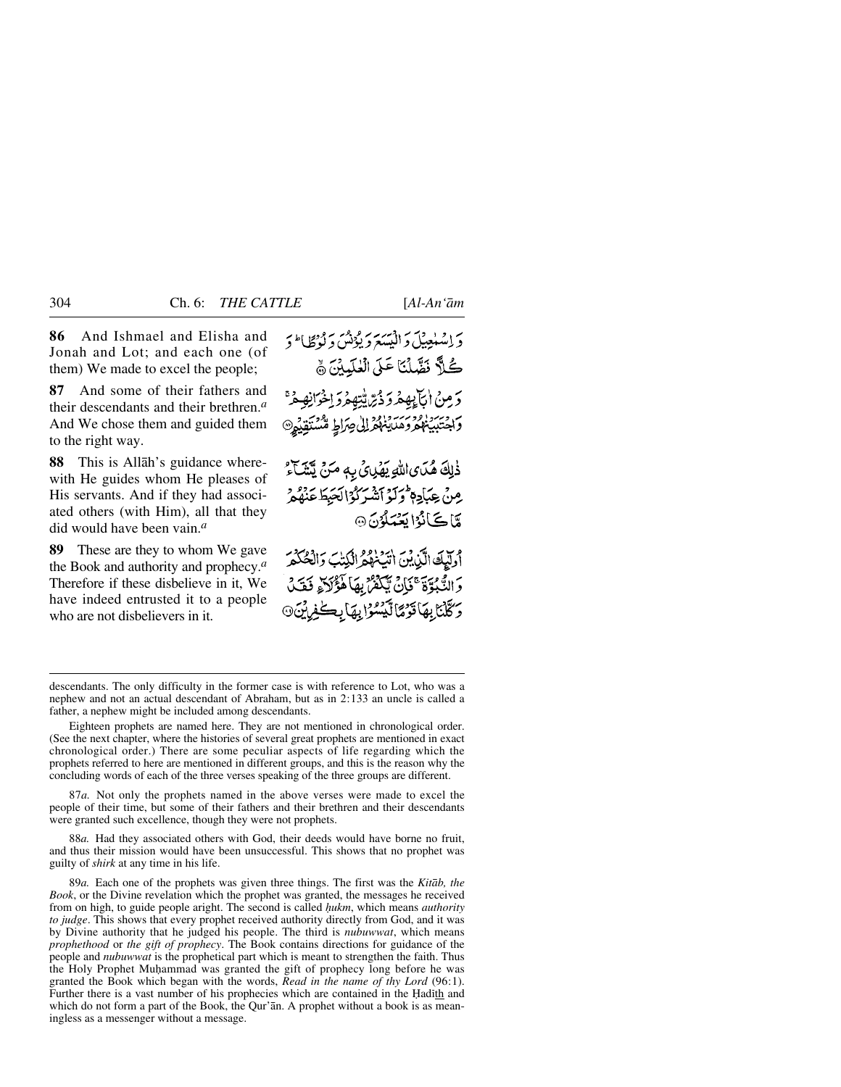**86** And Ishmael and Elisha and Jonah and Lot; and each one (of them) We made to excel the people;

**87** And some of their fathers and their descendants and their brethren.*<sup>a</sup>* And We chose them and guided them to the right way.

**88** This is Allåh's guidance wherewith He guides whom He pleases of His servants. And if they had associated others (with Him), all that they did would have been vain.*<sup>a</sup>*

**89** These are they to whom We gave the Book and authority and prophecy.*<sup>a</sup>* Therefore if these disbelieve in it, We have indeed entrusted it to a people who are not disbelievers in it.

دَ اِسْلُعِيْلَ دَانِسَيَدَ رَيْزُنْسَ دَ بِنَظَا اَ دَ كُلاً نَصَّلُنَا عَلَى الْعٰلَيِينَ نَّ دَ مِنْ التَّابِيهِمْ دَ دُيِّ يُّتِهِمْ دَ اِخْرَانِهِمْ ۚ واختبينهمروهدينه وزالى صراط مشتقيهم ذٰلِكَ هُدَى اللَّهِ يَهْدِئُ بِهِ مَنْ يَتَنَبَّآءُ مِنْ عِبَادِمٖ وَلَوۡ ٱتَّسۡرَكُوۡالۡحَيۡطَ عَنۡهُمۡ

أوليكَ الَّيْ بْنَ اتِّبْهُمُّ الْكِتَبَ وَالْحُكْمَرُ وَالتَّبُوَّةَ ۚ فَإِنَّ يَّكُفُنُّ بِهَا هَؤُلاَّ وَقَتَلُ وَكَلْنَا بِهَاقَوْمًا لَيْسُوْا بِهَا بِكَفِرِيْنَ۞

مَّاكَانُوْايَعْمَلُوْنَ@

87*a.* Not only the prophets named in the above verses were made to excel the people of their time, but some of their fathers and their brethren and their descendants were granted such excellence, though they were not prophets.

88*a.* Had they associated others with God, their deeds would have borne no fruit, and thus their mission would have been unsuccessful. This shows that no prophet was guilty of *shirk* at any time in his life.

89*a.* Each one of the prophets was given three things. The first was the *Kitåb, the Book*, or the Divine revelation which the prophet was granted, the messages he received from on high, to guide people aright. The second is called *hukm*, which means *authority to judge*. This shows that every prophet received authority directly from God, and it was by Divine authority that he judged his people. The third is *nubuwwat*, which means *prophethood* or *the gift of prophecy*. The Book contains directions for guidance of the people and *nubuwwat* is the prophetical part which is meant to strengthen the faith. Thus the Holy Prophet Muhammad was granted the gift of prophecy long before he was granted the Book which began with the words, *Read in the name of thy Lord* (96:1). Further there is a vast number of his prophecies which are contained in the Hadith and which do not form a part of the Book, the Qur'an. A prophet without a book is as meaningless as a messenger without a message.

descendants. The only difficulty in the former case is with reference to Lot, who was a nephew and not an actual descendant of Abraham, but as in 2:133 an uncle is called a father, a nephew might be included among descendants.

Eighteen prophets are named here. They are not mentioned in chronological order. (See the next chapter, where the histories of several great prophets are mentioned in exact chronological order.) There are some peculiar aspects of life regarding which the prophets referred to here are mentioned in different groups, and this is the reason why the concluding words of each of the three verses speaking of the three groups are different.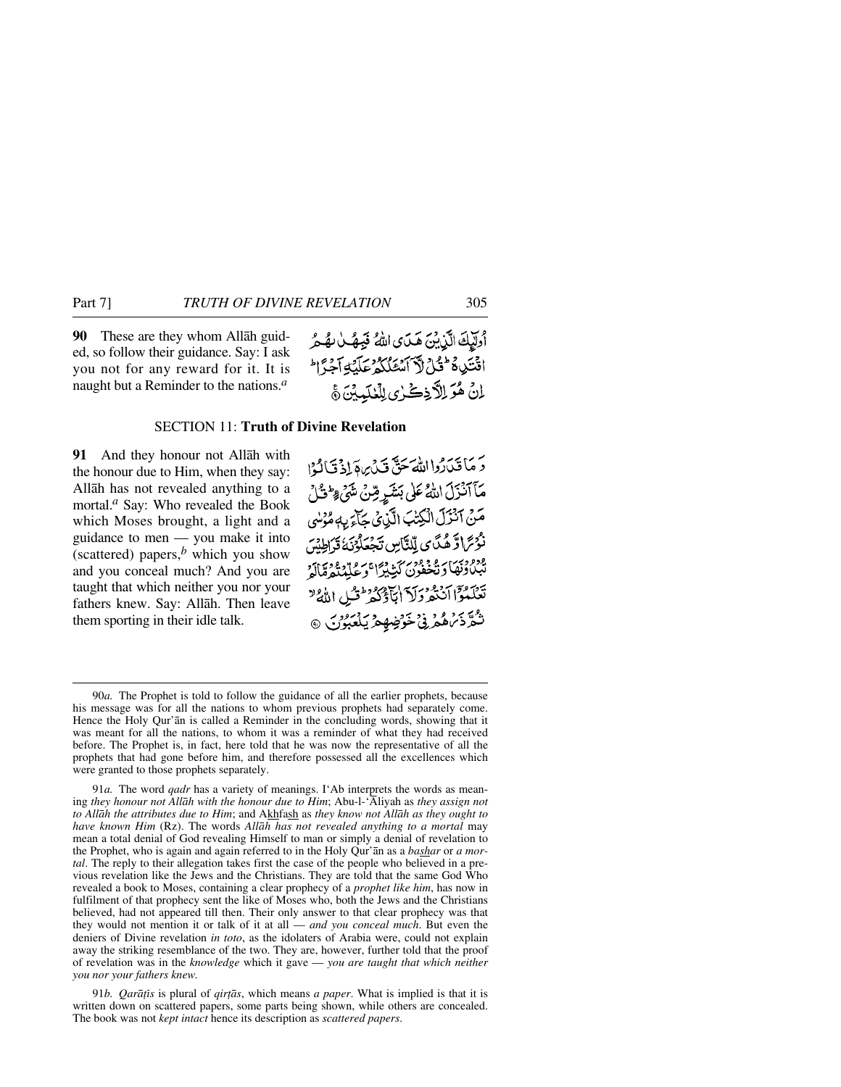**90** These are they whom Allåh guided, so follow their guidance. Say: I ask you not for any reward for it. It is naught but a Reminder to the nations.*<sup>a</sup>*

أُولَيْكَ الَّذِيْنَ هَدَى اللهُ فَبِهُ لِهُ هُمْ اقْتَدِهِ فَشَوْرٌ لَآ أَمْثَلُكُمْ عَلَيْهِ أَجِرَّ الْمَ لِنْ هُوَ لِلَّاذِكُرْى لِلْعٰلَيِّينَ ﴾

## SECTION 11: **Truth of Divine Revelation**

**91** And they honour not Allåh with the honour due to Him, when they say: Allåh has not revealed anything to a mortal.*<sup>a</sup>* Say: Who revealed the Book which Moses brought, a light and a guidance to men — you make it into (scattered) papers, $<sup>b</sup>$  which you show</sup> and you conceal much? And you are taught that which neither you nor your fathers knew. Say: Allåh. Then leave them sporting in their idle talk.

رَ مَأْتَدَرُوا اللَّهَ حَقٌّ قَدْرِيهَ إِذْ قَالَوْا مَآآتَزَلَ اللَّهُ عَلَى بَشَرٍ قِنْ شَيْءٍ وَلَى اللَّهِ مَنْ آنْزَلَ الْكِتْبَ الَّزِيْنَ كِبَاءٍ بِهِ مُؤْسَى نْدُىً اوَّ هُدَّى لِّلتَّاسِ تَجْعَلُوْنَهُ قَرَاطِيْنَ ودودبي و ووري كثيرًا وعلي ووري .<br>تبيادنها ديخفون كثيرًا وعلي تعديدًا لو تَعَلَّمُوَّا اَنْتُمْ وَلَاَ اٰبَآؤُكُمْ ۚ قُتُلِ اللَّهُ ۚ شود و د ونځ ځون موليکو په دي.<br>شور ماهمرني ځون موليکو پر

91*b. Qarāțīs* is plural of *qirțās*, which means *a paper*. What is implied is that it is written down on scattered papers, some parts being shown, while others are concealed. The book was not *kept intact* hence its description as *scattered papers*.

<sup>90</sup>*a.* The Prophet is told to follow the guidance of all the earlier prophets, because his message was for all the nations to whom previous prophets had separately come. Hence the Holy Qur'ån is called a Reminder in the concluding words, showing that it was meant for all the nations, to whom it was a reminder of what they had received before. The Prophet is, in fact, here told that he was now the representative of all the prophets that had gone before him, and therefore possessed all the excellences which were granted to those prophets separately.

<sup>91</sup>*a.* The word *qadr* has a variety of meanings. I'Ab interprets the words as meaning *they honour not Allåh with the honour due to Him*; Abu-l-'Åliyah as *they assign not to Allåh the attributes due to Him*; and Akhfash as *they know not Allåh as they ought to have known Him* (Rz). The words *Allåh has not revealed anything to a mortal* may mean a total denial of God revealing Himself to man or simply a denial of revelation to the Prophet, who is again and again referred to in the Holy Qur'ån as a *bashar* or *a mortal*. The reply to their allegation takes first the case of the people who believed in a previous revelation like the Jews and the Christians. They are told that the same God Who revealed a book to Moses, containing a clear prophecy of a *prophet like him*, has now in fulfilment of that prophecy sent the like of Moses who, both the Jews and the Christians believed, had not appeared till then. Their only answer to that clear prophecy was that they would not mention it or talk of it at all — *and you conceal much*. But even the deniers of Divine revelation *in toto*, as the idolaters of Arabia were, could not explain away the striking resemblance of the two. They are, however, further told that the proof of revelation was in the *knowledge* which it gave — *you are taught that which neither you nor your fathers knew.*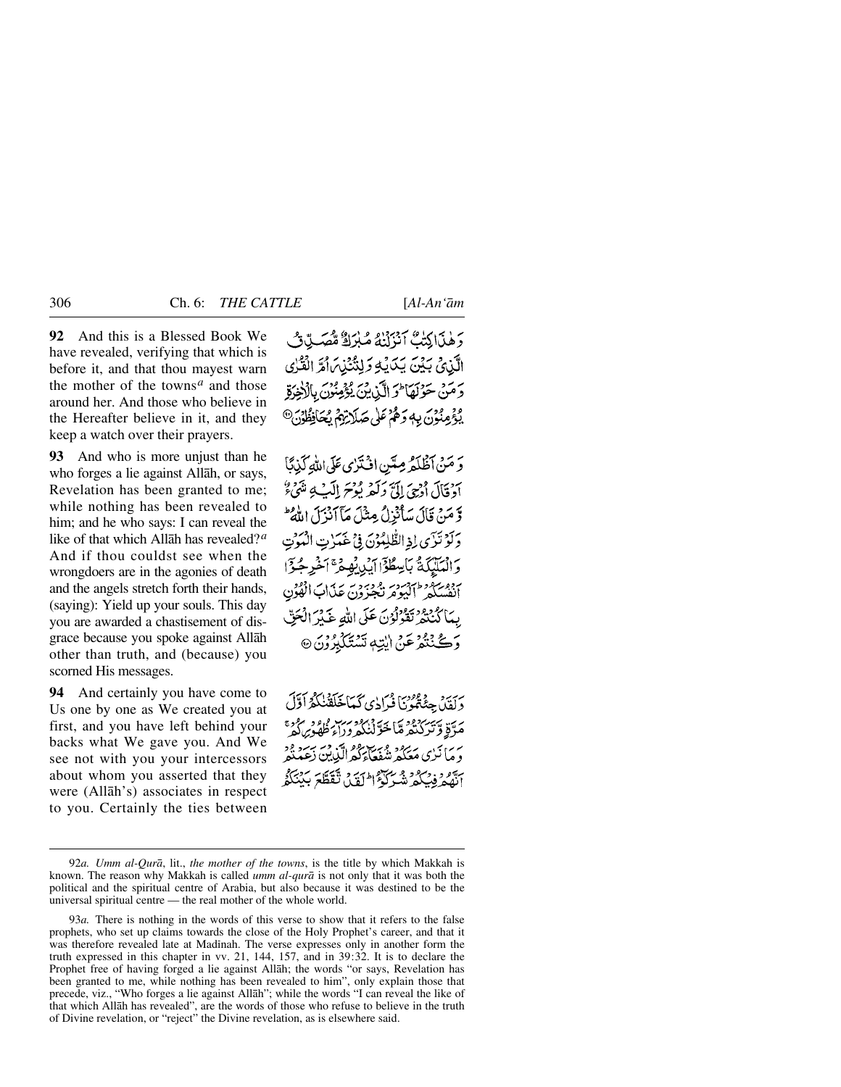**92** And this is a Blessed Book We have revealed, verifying that which is before it, and that thou mayest warn the mother of the towns<sup> $a$ </sup> and those around her. And those who believe in the Hereafter believe in it, and they keep a watch over their prayers.

**93** And who is more unjust than he who forges a lie against Allåh, or says, Revelation has been granted to me; while nothing has been revealed to him; and he who says: I can reveal the like of that which Allåh has revealed?*<sup>a</sup>* And if thou couldst see when the wrongdoers are in the agonies of death and the angels stretch forth their hands, (saying): Yield up your souls. This day you are awarded a chastisement of disgrace because you spoke against Allåh other than truth, and (because) you scorned His messages.

**94** And certainly you have come to Us one by one as We created you at first, and you have left behind your backs what We gave you. And We see not with you your intercessors about whom you asserted that they were (Allåh's) associates in respect to you. Certainly the ties between

رَهْنَاكِتْبُّ آنْزَلْنْهُ مُبْرَكٌ مُّصَبِّ بِّ الَّذِيْ بَيْنَ يَدَيْهِ وَلِنُّنْذِينَ أَمَّ الْقُرٰى دَمَنْ حَوْلَهَا فَرَ الَّذِينَ يُؤْمِنُونَ بِالْأَخِرَةِ يُؤْمِنُونَ بِهِ دَهُمْ عَلَى صَلَاتِهِمْ يُحَافِظُونَ®

وَ مَنْ آظْلَهُ مِيَّنِ افْتَرْيِ عَلَى اللَّهِ كَذِبًا آدْ قَالَ أُدْحِيَ إِلَيَّ وَلَعْهِ يُوْحَ إِلَيْ بِهِ مُنْهَىٰءٌ ۖ وَّ مَنْ قَالَ سَأَنْزِلُ مِثْلَ مَآ أَنْزَلَ اللَّهُ ۖ وَلَوْتَزَى لِذِالطُّلِمُوْنَ فِي غَيَرْتِ الْبَوْتِ وَالْعَلَيْكَةُ بَاسِطُوْۤالْمَدْرِبُهِجْ ۚ آخَرِجُوْٓا سود سعود اسود و موجود به عذاب الفون<br>انفسکه گلیوم نجیوون عذاب الفون بِيَا كَيْنَتّْدِ تَقُولُوْنَ عَلَى اللَّهِ عَبَيْرَ الْجَنِّ رَكَ بَيْنِهِ عَنْ الِّذِي تَسْتَكَبِّدُونَ @

دَيْيَنْ جِئْةً مُوْنَا فْرَادِي كَعَاجَلَقْنِكُمْ أَوَّلَ مَدَّقِ وَتَرَكْبُدُهُ مَا خَوَّنْنَكُمْ وِرَاءَ ظُهُوبِ هُوَ، دَ مَا نَزِي مَعَكُمْ شُفَعَاءَكُمُ الَّذِينَ رَبِّيَةٍ ابَّهُمْ فِيَكُمْ شَيِّرْكُمْ الْمَدَيْنَ تَقَطَّعَ بِكِنْتَكُمُّ

<sup>92</sup>*a. Umm al-Qurå*, lit., *the mother of the towns*, is the title by which Makkah is known. The reason why Makkah is called *umm al-qurå* is not only that it was both the political and the spiritual centre of Arabia, but also because it was destined to be the universal spiritual centre — the real mother of the whole world.

<sup>93</sup>*a.* There is nothing in the words of this verse to show that it refers to the false prophets, who set up claims towards the close of the Holy Prophet's career, and that it was therefore revealed late at Madinah. The verse expresses only in another form the truth expressed in this chapter in vv. 21, 144, 157, and in 39:32. It is to declare the Prophet free of having forged a lie against Allåh; the words "or says, Revelation has been granted to me, while nothing has been revealed to him", only explain those that precede, viz., "Who forges a lie against Allåh"; while the words "I can reveal the like of that which Allåh has revealed", are the words of those who refuse to believe in the truth of Divine revelation, or "reject" the Divine revelation, as is elsewhere said.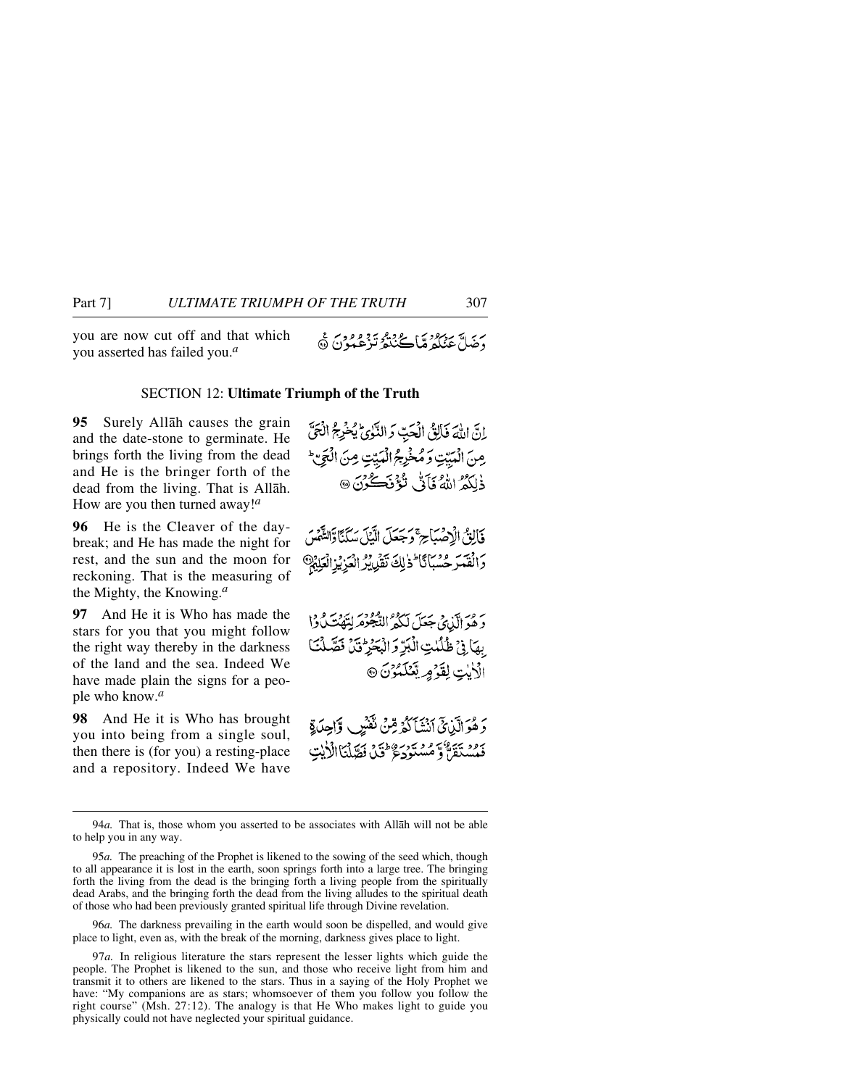you are now cut off and that which you asserted has failed you.*<sup>a</sup>*

#### SECTION 12: **Ultimate Triumph of the Truth**

**95** Surely Allåh causes the grain and the date-stone to germinate. He brings forth the living from the dead and He is the bringer forth of the dead from the living. That is Allåh. How are you then turned away!*<sup>a</sup>*

**96** He is the Cleaver of the daybreak; and He has made the night for rest, and the sun and the moon for reckoning. That is the measuring of the Mighty, the Knowing.*<sup>a</sup>*

**97** And He it is Who has made the stars for you that you might follow the right way thereby in the darkness of the land and the sea. Indeed We have made plain the signs for a people who know.*<sup>a</sup>*

**98** And He it is Who has brought you into being from a single soul, then there is (for you) a resting-place and a repository. Indeed We have

اِنّ اللَّهَ فَالِقُ الْحَبِّ وَالنَّوٰئُ يُخْرِجُ الْحَقَّ مِنَ الْمَبَيِّتِ وَمُخْرِجُ الْمَبِيّتِ مِنَ الْجَيِّ ذٰلَكُمُ اللَّهُ فَأَذٌ لَٰٓ فَالصَّكُونَ ۞

فَأَلِنُّ الْإِصْبَاحِ ۚ وَجَعَلَ الَّيْلَ سَكَنَّا وَالتَّهُسَ **1**أَفْقَدَ حُسْبَانَا ۖ ذٰلِكَ نَقْرِيْرُ الْعَزِيْزِ الْعَلِيْمِ

رَ مِرَ الَّذِي جَعَلَ لَكُمُ النَّجُوْمَ لِتَهْتَمَاوُا بِهَا فِي ظُلُّلْتِ الْبَرِّ وَ الْبَحْرِ ثَنَّ فَصَّلْنَا الْأَيْتِ لِقَوْمٍ يَّعْلَمُونَ @

دَ هُوَ أَلَّذِيَّ أَنْشَأَكُمْ مِّنْ نَفْسٌ وَّاحِدَةِ فَسُنَقَلَّ وَمُسْتَوَدِّعٌ فَنَ فَصَّلْنَا الْأَيْتِ

94*a.* That is, those whom you asserted to be associates with Allåh will not be able to help you in any way.

96*a.* The darkness prevailing in the earth would soon be dispelled, and would give place to light, even as, with the break of the morning, darkness gives place to light.

97*a.* In religious literature the stars represent the lesser lights which guide the people. The Prophet is likened to the sun, and those who receive light from him and transmit it to others are likened to the stars. Thus in a saying of the Holy Prophet we have: "My companions are as stars; whomsoever of them you follow you follow the right course" (Msh. 27:12). The analogy is that He Who makes light to guide you physically could not have neglected your spiritual guidance.

<sup>95</sup>*a.* The preaching of the Prophet is likened to the sowing of the seed which, though to all appearance it is lost in the earth, soon springs forth into a large tree. The bringing forth the living from the dead is the bringing forth a living people from the spiritually dead Arabs, and the bringing forth the dead from the living alludes to the spiritual death of those who had been previously granted spiritual life through Divine revelation.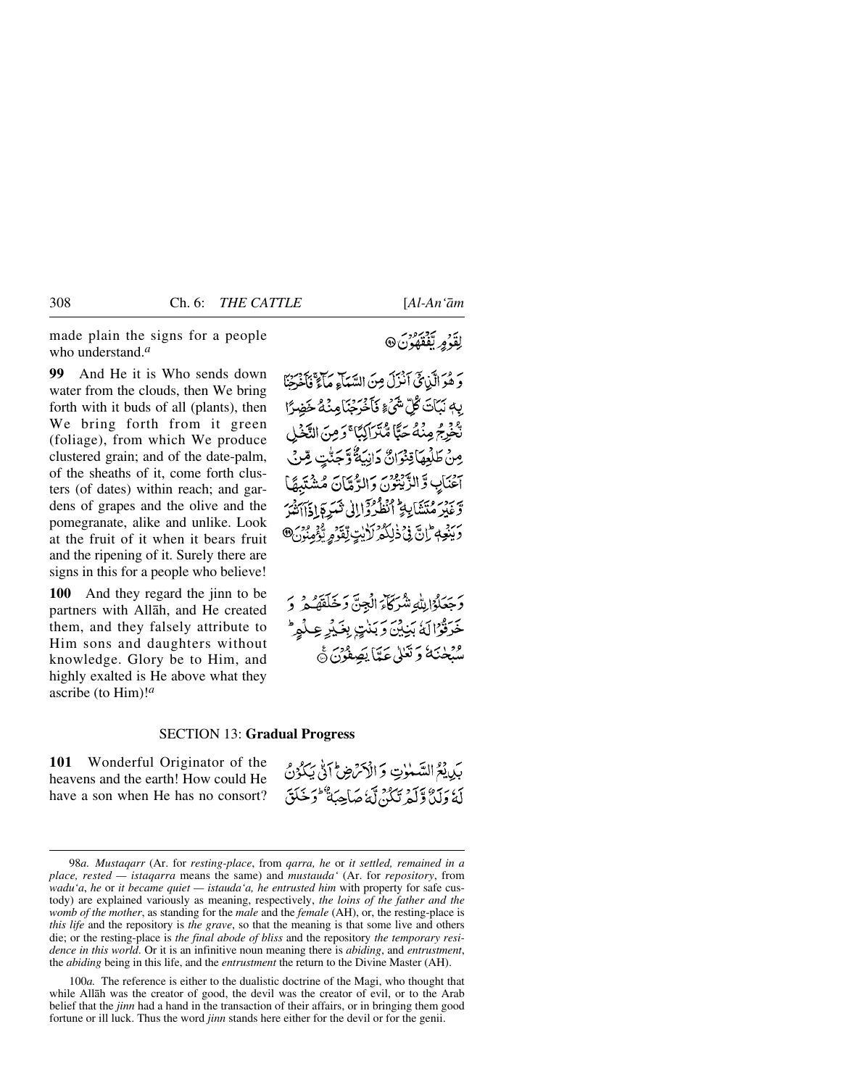made plain the signs for a people who understand.*<sup>a</sup>*

**99** And He it is Who sends down water from the clouds, then We bring forth with it buds of all (plants), then We bring forth from it green (foliage), from which We produce clustered grain; and of the date-palm, of the sheaths of it, come forth clusters (of dates) within reach; and gardens of grapes and the olive and the pomegranate, alike and unlike. Look at the fruit of it when it bears fruit and the ripening of it. Surely there are signs in this for a people who believe!

**100** And they regard the jinn to be partners with Allåh, and He created them, and they falsely attribute to Him sons and daughters without knowledge. Glory be to Him, and highly exalted is He above what they ascribe (to Him)!*<sup>a</sup>*

# لِقَدْمِ لِّفَقَّفُونَ @

وَ هُوَ الَّذِيقَ آنَزَلَ مِنَ السَّعَآءِ مَآءٌ فَأَخْبَحْنَا بِهِ نَيَاتَ كُلِّ شَيْءٍ فَأَخْرَجْنَامِنْهُ خَضِرًا نْحْفِرْجُ مِنْهُ حَيًّا مُّتَرَاكِيًّا ۚ وَمِنَ النَّخْلِ مِنْ طَلْعِهَاقِنْوَانٌ دَانِيَةٌ وَّجَنَّتٍ مِّنْ حناب وَّ الزَّيْتُونَ وَالرَّمَّانَ مُشْتَبِهَا وغير مُتَشَابِيٍّ ٱنْظُرُوْاإِلَىٰ ثَيَرِةٍ إِذَاآتَيْهُ وَيَنْعِهِمْ إِنَّ فِي ذَٰلِكُمْ لَأَيْتِ لِّقَدَّمِ يُؤْمِنُونَ®

وَجَعَلُوۡ لِللَّهِ شَرَكَآءَ الۡجِنِّ وَخَلَقَهُمۡ وَ خَرَقُوْالَةُ بَنِيْنَ وَبَنْتٍ بِغَيْرِ عِلْمٍ \* <sup>و</sup>َبْهِلْمَنَهُ وَتَعْلَىٰ عَيَّاً يَصِفُونَ ﴾

### SECTION 13: **Gradual Progress**

**101** Wonderful Originator of the heavens and the earth! How could He have a son when He has no consort?

بَدِيْعُ السَّنْزِتِ وَالْأَكْرَضِ ۚ أَوْلَىٰ يَكُوُنَ ر، ئەس ئەربىر بىر ئەس ئەس ئەس ئەسىر.<br>لەرلىڭ قەلمەتكىن لەغ ھاجبە ئىس ئوخلىق

100*a.* The reference is either to the dualistic doctrine of the Magi, who thought that while Allåh was the creator of good, the devil was the creator of evil, or to the Arab belief that the *jinn* had a hand in the transaction of their affairs, or in bringing them good fortune or ill luck. Thus the word *jinn* stands here either for the devil or for the genii.

<sup>98</sup>*a. Mustaqarr* (Ar. for *resting-place*, from *qarra, he* or *it settled, remained in a place, rested — istaqarra* means the same) and *mustauda'* (Ar. for *repository*, from *wadu'a*, *he* or *it became quiet — istauda'a, he entrusted him* with property for safe custody) are explained variously as meaning, respectively, *the loins of the father and the womb of the mother*, as standing for the *male* and the *female* (AH), or, the resting-place is *this life* and the repository is *the grave*, so that the meaning is that some live and others die; or the resting-place is *the final abode of bliss* and the repository *the temporary residence in this world*. Or it is an infinitive noun meaning there is *abiding*, and *entrustment*, the *abiding* being in this life, and the *entrustment* the return to the Divine Master (AH).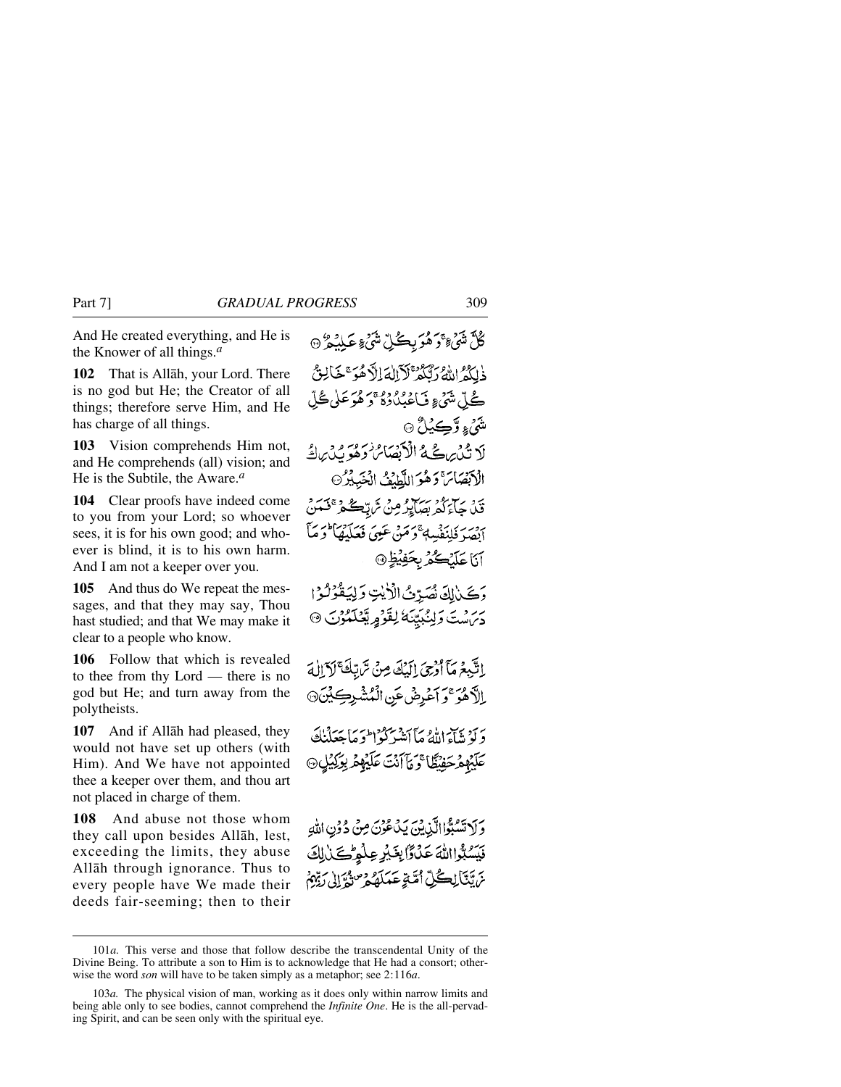And He created everything, and He is the Knower of all things.*<sup>a</sup>*

**102** That is Allåh, your Lord. There is no god but He; the Creator of all things; therefore serve Him, and He has charge of all things.

**103** Vision comprehends Him not, and He comprehends (all) vision; and He is the Subtile, the Aware.*<sup>a</sup>*

**104** Clear proofs have indeed come to you from your Lord; so whoever sees, it is for his own good; and whoever is blind, it is to his own harm. And I am not a keeper over you.

**105** And thus do We repeat the messages, and that they may say, Thou hast studied; and that We may make it clear to a people who know.

**106** Follow that which is revealed to thee from thy Lord — there is no god but He; and turn away from the polytheists.

**107** And if Allåh had pleased, they would not have set up others (with Him). And We have not appointed thee a keeper over them, and thou art not placed in charge of them.

**108** And abuse not those whom they call upon besides Allåh, lest, exceeding the limits, they abuse Allåh through ignorance. Thus to every people have We made their deeds fair-seeming; then to their

ڴڷۺؘ<sup>؏</sup>؆ؘۯۿؘۯۑڪۢڵۺؙ<sub>ٛ؏</sub>؏ۼڸؽۯ؈ ذٰلِكُمُ اللَّهُ رَتَّكُمْ لَأَلْلَهَ إِلَّا هُوَ ۚ خَالِثٌ ڴۣڵٙۺؽٙ؏ڡؘ۬ٲۼؽ۠ۯۮۮٶٛڞۄؘڟڸٚڟؙڵ شَيۡءِ وَٓڪِيۡلُ ۞ لَا تُدْيِرِ عَ لَا الْأَبْصَاصُ وَهُوَ بِّدْيِ الْهُ الْأَبْصَائِ وَهُوَ اللَّطِيْفُ الْخَبِيْرُ ين ڇاپڙو سري وڻ ٿرا<u>تڪ ه<sup>ج ج</sup>ي</u>تين ابْصَرْ فَلِنَفْسِهِ ۚ دَمَنْ عَيِيَ فَعَلَيْهَا ۖ دَمَآ آناغلنگ *در بخويغا* دَكَيْنَ لَهُ نُصَدِّتُ الْأَيْتِ وَلِيَقُوْلُوْا 5 مَنْ مَنْ وَلِيُّبِيَّنَا لِقَوْمٍ يَّعْلَمُوْنَ ۞ بِاتَّبِعْرِمَآ أُدْبِيَ إِلَيْكَ مِنْ سَّاتِكَ ۚ لَآ إِلٰهَ إِلاَّهُوَ ۚ وَ أَعْرِضْ عَنِ الْمُشْرِكِيْنَ۞ دَ لَوْ يَبْآءَ اللَّهُ مَاۤ أَتَنْبَرَكُوۡ ٰ الْحَمَآ بِحَدَلَنَكَ عَلَيْهِمْ حَفِيْظًا ۚ وَمَأَ أَنْتَ عَلَيْهِمْ بِوَكِيْلٍ ۞

وَلَا تَسْبُوْاالَّذِينَ يَدْعُوْنَ مِنْ دُوۡنِ اللَّهِ فَيَسُبُّوااللَّهَ عَذَّوَّا بِغَيْرِ عِلْمِرْكَنْ لِكَ مْ تَتَأَلِّڪُلِّ أُمَّةٍ عَمَلَهُ ۚ وَصَنُّهُ إِلَى رَبِّهِمْ

<sup>101</sup>*a.* This verse and those that follow describe the transcendental Unity of the Divine Being. To attribute a son to Him is to acknowledge that He had a consort; otherwise the word *son* will have to be taken simply as a metaphor; see 2:116*a*.

<sup>103</sup>*a.* The physical vision of man, working as it does only within narrow limits and being able only to see bodies, cannot comprehend the *Infinite One*. He is the all-pervading Spirit, and can be seen only with the spiritual eye.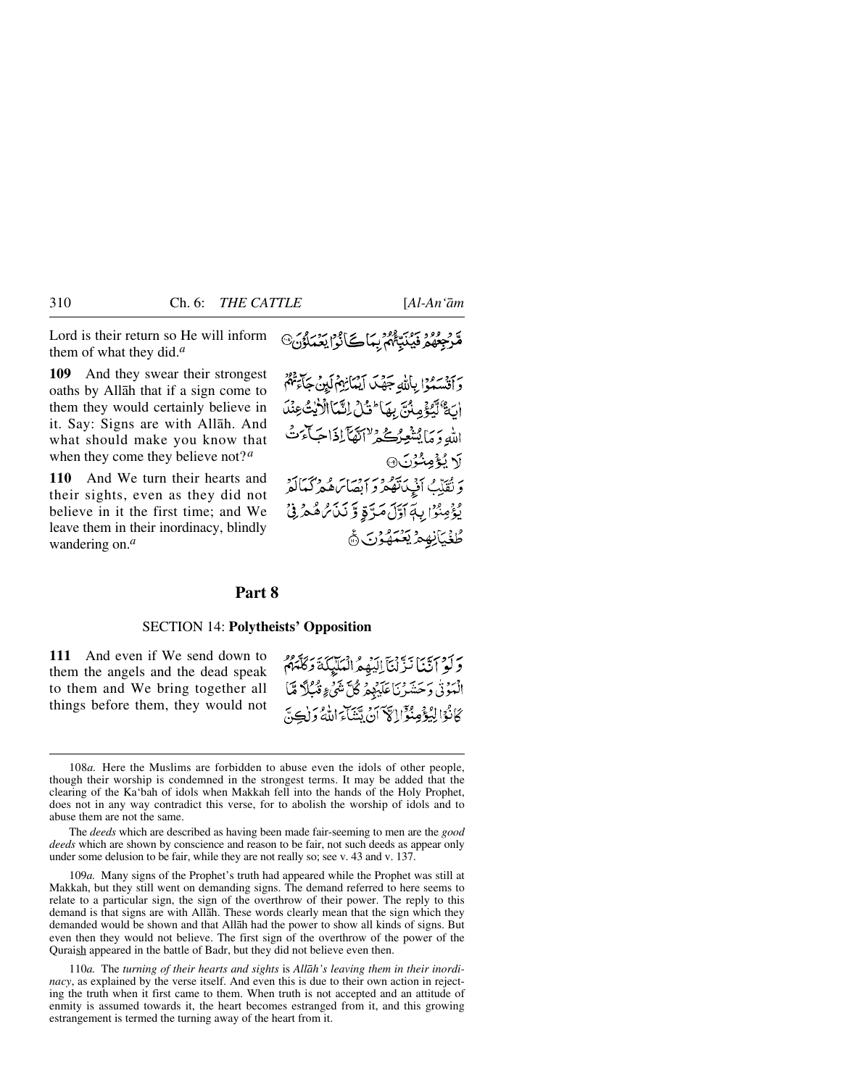Lord is their return so He will inform them of what they did.*<sup>a</sup>*

**109** And they swear their strongest oaths by Allåh that if a sign come to them they would certainly believe in it. Say: Signs are with Allåh. And what should make you know that when they come they believe not?*<sup>a</sup>*

**110** And We turn their hearts and their sights, even as they did not believe in it the first time; and We leave them in their inordinacy, blindly wandering on.*<sup>a</sup>*

مَّرْجِعُهُمْ فَيُنَبَّعُهُمْ بِيَاكَے نُوْا يَعُمَلُوْنَ۞

وَأَقْسَسُوْا بِاللَّهِ جَهْدَ أَيْمَأْنِهُمْ لَيْنَ جَأَءَتُهُمْ أَنَّةٌ لَّيْكَمِ مِنْنَ بِهَا لَمَثَلْ إِنَّمَا الْأَيْتُ عِنْدَ الله دَ مَا يُتْغِيرُ كُنْ يَسْتَمَا آَيْهَا آَيَيْهَا تَجِيبَ مِنْ لَا لَيُؤْمِنُنُوْنَ۞ ويُقَلِّبُ أَفْبِيلَاتُهُمْ وَ إِيصَائِرَهُ وَ وَكَيَاكُوْ يُؤْمِنُوْا بِهَاَوَلَ مَرَّةٍ وَّ نَنْ مُّ هُمْ فِيْ **ڟؙڂ**ؘؽٲڹۣڣۣڡۯؾػؠۿ

## **Part 8**

### SECTION 14: **Polytheists' Opposition**

**111** And even if We send down to them the angels and the dead speak to them and We bring together all things before them, they would not

وَلَوْ أَنَّنَا نَزَّلْنَآ إِلَيْهِمُ الْمَلَيْكَةَ وَكَلَّمَهُمْ الْمَوْنَٰ وَحَسَّرْنَاعَلَيْهِمْ كُلَّ شَيْءٍ ثَبُبِلَّا مَّاَ كَانْوَالِيُؤْمِنُوْٓالِكَمَ أَنْ يَتَنَاءَ اللَّهُ وَلٰكِنَّ

The *deeds* which are described as having been made fair-seeming to men are the *good deeds* which are shown by conscience and reason to be fair, not such deeds as appear only under some delusion to be fair, while they are not really so; see v. 43 and v. 137.

109*a.* Many signs of the Prophet's truth had appeared while the Prophet was still at Makkah, but they still went on demanding signs. The demand referred to here seems to relate to a particular sign, the sign of the overthrow of their power. The reply to this demand is that signs are with Allåh. These words clearly mean that the sign which they demanded would be shown and that Allåh had the power to show all kinds of signs. But even then they would not believe. The first sign of the overthrow of the power of the Quraish appeared in the battle of Badr, but they did not believe even then.

110*a.* The *turning of their hearts and sights* is *Allåh's leaving them in their inordinacy*, as explained by the verse itself. And even this is due to their own action in rejecting the truth when it first came to them. When truth is not accepted and an attitude of enmity is assumed towards it, the heart becomes estranged from it, and this growing estrangement is termed the turning away of the heart from it.

<sup>108</sup>*a.* Here the Muslims are forbidden to abuse even the idols of other people, though their worship is condemned in the strongest terms. It may be added that the clearing of the Ka'bah of idols when Makkah fell into the hands of the Holy Prophet, does not in any way contradict this verse, for to abolish the worship of idols and to abuse them are not the same.